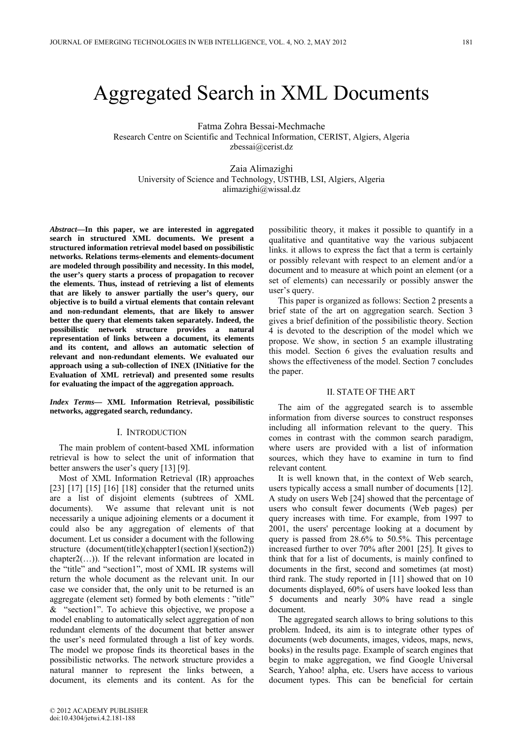# Aggregated Search in XML Documents

Fatma Zohra Bessai-Mechmache Research Centre on Scientific and Technical Information, CERIST, Algiers, Algeria zbessai@cerist.dz

Zaia Alimazighi University of Science and Technology, USTHB, LSI, Algiers, Algeria alimazighi@wissal.dz

*Abstract***—In this paper, we are interested in aggregated search in structured XML documents. We present a structured information retrieval model based on possibilistic networks. Relations terms-elements and elements-document are modeled through possibility and necessity. In this model, the user's query starts a process of propagation to recover the elements. Thus, instead of retrieving a list of elements that are likely to answer partially the user's query, our objective is to build a virtual elements that contain relevant and non-redundant elements, that are likely to answer better the query that elements taken separately. Indeed, the possibilistic network structure provides a natural representation of links between a document, its elements and its content, and allows an automatic selection of relevant and non-redundant elements. We evaluated our approach using a sub-collection of INEX (INitiative for the Evaluation of XML retrieval) and presented some results for evaluating the impact of the aggregation approach.** 

*Index Terms***— XML Information Retrieval, possibilistic networks, aggregated search, redundancy.** 

## I. INTRODUCTION

The main problem of content-based XML information retrieval is how to select the unit of information that better answers the user's query [13] [9].

Most of XML Information Retrieval (IR) approaches [23] [17] [15] [16] [18] consider that the returned units are a list of disjoint elements (subtrees of XML documents). We assume that relevant unit is not necessarily a unique adjoining elements or a document it could also be any aggregation of elements of that document. Let us consider a document with the following structure (document(title)(chappter1(section1)(section2)) chapter2(…)). If the relevant information are located in the "title" and "section1", most of XML IR systems will return the whole document as the relevant unit. In our case we consider that, the only unit to be returned is an aggregate (element set) formed by both elements : "title" & "section1". To achieve this objective, we propose a model enabling to automatically select aggregation of non redundant elements of the document that better answer the user's need formulated through a list of key words. The model we propose finds its theoretical bases in the possibilistic networks. The network structure provides a natural manner to represent the links between, a document, its elements and its content. As for the

possibilitic theory, it makes it possible to quantify in a qualitative and quantitative way the various subjacent links. it allows to express the fact that a term is certainly or possibly relevant with respect to an element and/or a document and to measure at which point an element (or a set of elements) can necessarily or possibly answer the user's query.

This paper is organized as follows: Section 2 presents a brief state of the art on aggregation search. Section 3 gives a brief definition of the possibilistic theory. Section 4 is devoted to the description of the model which we propose. We show, in section 5 an example illustrating this model. Section 6 gives the evaluation results and shows the effectiveness of the model. Section 7 concludes the paper.

## II. STATE OF THE ART

The aim of the aggregated search is to assemble information from diverse sources to construct responses including all information relevant to the query. This comes in contrast with the common search paradigm, where users are provided with a list of information sources, which they have to examine in turn to find relevant content*.*

It is well known that, in the context of Web search, users typically access a small number of documents [12]. A study on users Web [24] showed that the percentage of users who consult fewer documents (Web pages) per query increases with time. For example, from 1997 to 2001, the users' percentage looking at a document by query is passed from 28.6% to 50.5%. This percentage increased further to over 70% after 2001 [25]. It gives to think that for a list of documents, is mainly confined to documents in the first, second and sometimes (at most) third rank. The study reported in [11] showed that on 10 documents displayed, 60% of users have looked less than 5 documents and nearly 30% have read a single document.

The aggregated search allows to bring solutions to this problem. Indeed, its aim is to integrate other types of documents (web documents, images, videos, maps, news, books) in the results page. Example of search engines that begin to make aggregation, we find Google Universal Search, Yahoo! alpha, etc. Users have access to various document types. This can be beneficial for certain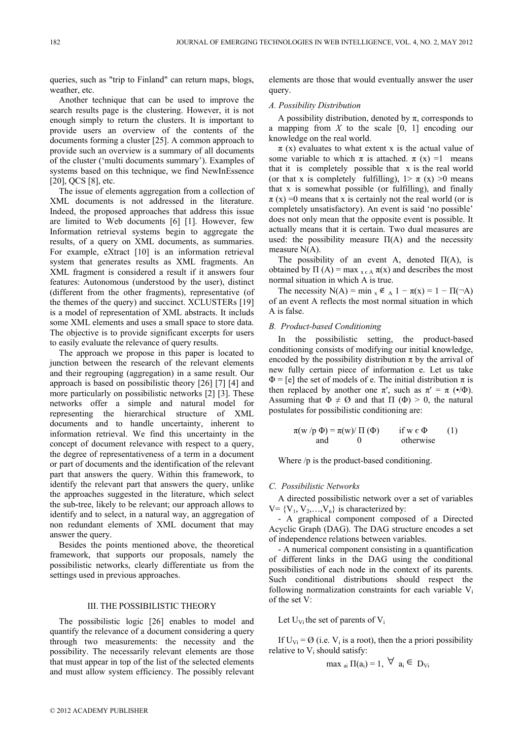queries, such as "trip to Finland" can return maps, blogs, weather, etc.

Another technique that can be used to improve the search results page is the clustering. However, it is not enough simply to return the clusters. It is important to provide users an overview of the contents of the documents forming a cluster [25]. A common approach to provide such an overview is a summary of all documents of the cluster ('multi documents summary'). Examples of systems based on this technique, we find NewInEssence [20], QCS [8], etc.

The issue of elements aggregation from a collection of XML documents is not addressed in the literature. Indeed, the proposed approaches that address this issue are limited to Web documents [6] [1]. However, few Information retrieval systems begin to aggregate the results, of a query on XML documents, as summaries. For example, eXtract [10] is an information retrieval system that generates results as XML fragments. An XML fragment is considered a result if it answers four features: Autonomous (understood by the user), distinct (different from the other fragments), representative (of the themes of the query) and succinct. XCLUSTERs [19] is a model of representation of XML abstracts. It includs some XML elements and uses a small space to store data. The objective is to provide significant excerpts for users to easily evaluate the relevance of query results.

The approach we propose in this paper is located to junction between the research of the relevant elements and their regrouping (aggregation) in a same result. Our approach is based on possibilistic theory [26] [7] [4] and more particularly on possibilistic networks [2] [3]. These networks offer a simple and natural model for representing the hierarchical structure of XML documents and to handle uncertainty, inherent to information retrieval. We find this uncertainty in the concept of document relevance with respect to a query, the degree of representativeness of a term in a document or part of documents and the identification of the relevant part that answers the query. Within this framework, to identify the relevant part that answers the query, unlike the approaches suggested in the literature, which select the sub-tree, likely to be relevant; our approach allows to identify and to select, in a natural way, an aggregation of non redundant elements of XML document that may answer the query.

Besides the points mentioned above, the theoretical framework, that supports our proposals, namely the possibilistic networks, clearly differentiate us from the settings used in previous approaches.

## III. THE POSSIBILISTIC THEORY

The possibilistic logic [26] enables to model and quantify the relevance of a document considering a query through two measurements: the necessity and the possibility. The necessarily relevant elements are those that must appear in top of the list of the selected elements and must allow system efficiency. The possibly relevant

elements are those that would eventually answer the user query.

## *A. Possibility Distribution*

A possibility distribution, denoted by  $\pi$ , corresponds to a mapping from *X* to the scale [0, 1] encoding our knowledge on the real world.

 $\pi$  (x) evaluates to what extent x is the actual value of some variable to which  $\pi$  is attached.  $\pi$  (x) =1 means that it is completely possible that x is the real world (or that x is completely fulfilling),  $1 > \pi$  (x)  $>0$  means that x is somewhat possible (or fulfilling), and finally  $\pi$  (x) =0 means that x is certainly not the real world (or is completely unsatisfactory). An event is said 'no possible' does not only mean that the opposite event is possible. It actually means that it is certain. Two dual measures are used: the possibility measure  $\Pi(A)$  and the necessity measure N(A).

The possibility of an event A, denoted  $\Pi(A)$ , is obtained by  $\Pi(A) = \max_{x \in A} \pi(x)$  and describes the most normal situation in which A is true.

The necessity  $N(A) = min_x \notin A_1 - \pi(x) = 1 - \Pi(\neg A)$ of an event A reflects the most normal situation in which A is false.

# *B. Product-based Conditioning*

In the possibilistic setting, the product-based conditioning consists of modifying our initial knowledge, encoded by the possibility distribution  $\pi$  by the arrival of new fully certain piece of information e. Let us take  $\Phi$  = [e] the set of models of e. The initial distribution  $\pi$  is then replaced by another one  $\pi'$ , such as  $\pi' = \pi$  ( $\bullet$ / $\Phi$ ). Assuming that  $\Phi \neq \emptyset$  and that  $\Pi(\Phi) > 0$ , the natural postulates for possibilistic conditioning are:

$$
\pi(w / p \Phi) = \pi(w) / \Pi(\Phi) \quad \text{if } w \in \Phi \quad (1)
$$
  
and 0 otherwise

Where /p is the product-based conditioning.

## *C. Possibilistic Networks*

A directed possibilistic network over a set of variables  $V = \{V_1, V_2, \ldots, V_n\}$  is characterized by:

- A graphical component composed of a Directed Acyclic Graph (DAG). The DAG structure encodes a set of independence relations between variables.

- A numerical component consisting in a quantification of different links in the DAG using the conditional possibilisties of each node in the context of its parents. Such conditional distributions should respect the following normalization constraints for each variable  $V_i$ of the set V:

Let  $U_{Vi}$  the set of parents of  $V_i$ 

If  $U_{Vi} = \emptyset$  (i.e.  $V_i$  is a root), then the a priori possibility relative to  $V_i$  should satisfy:

$$
\max_{\text{ai}} \Pi(\mathbf{a_i}) = 1, \ \forall \ \mathbf{a_i} \in \mathbf{D}_{\text{Vi}}
$$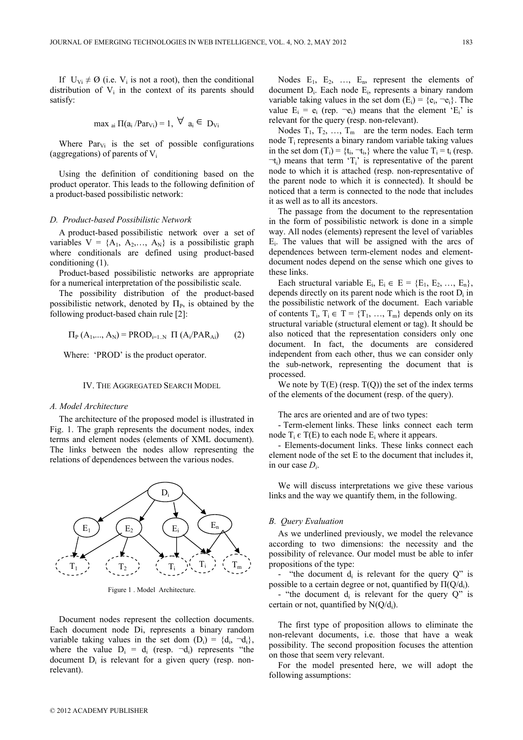If  $U_{Vi} \neq \emptyset$  (i.e.  $V_i$  is not a root), then the conditional distribution of  $V_i$  in the context of its parents should satisfy:

$$
\max_{\text{ai}} \Pi(a_i / \text{Par}_{\text{Vi}}) = 1, \ \forall \ a_i \in D_{\text{Vi}}
$$

Where  $Par_{Vi}$  is the set of possible configurations (aggregations) of parents of  $V_i$ 

Using the definition of conditioning based on the product operator. This leads to the following definition of a product-based possibilistic network:

## *D. Product-based Possibilistic Network*

A product-based possibilistic network over a set of variables  $V = \{A_1, A_2, ..., A_N\}$  is a possibilistic graph where conditionals are defined using product-based conditioning (1).

Product-based possibilistic networks are appropriate for a numerical interpretation of the possibilistic scale.

The possibility distribution of the product-based possibilistic network, denoted by  $\Pi_{P}$ , is obtained by the following product-based chain rule [2]:

$$
\Pi_{P}(A_{1},..., A_{N}) = PROD_{i=1..N} \Pi (A_{i}/PAR_{Ai})
$$
 (2)

Where: 'PROD' is the product operator.

#### IV. THE AGGREGATED SEARCH MODEL

#### *A. Model Architecture*

The architecture of the proposed model is illustrated in Fig. 1. The graph represents the document nodes, index terms and element nodes (elements of XML document). The links between the nodes allow representing the relations of dependences between the various nodes.



Figure 1 . Model Architecture.

Document nodes represent the collection documents. Each document node Di, represents a binary random variable taking values in the set dom  $(D_i) = {d_i, -d_i}$ , where the value  $D_i = d_i$  (resp.  $\neg d_i$ ) represents "the document  $D_i$  is relevant for a given query (resp. nonrelevant).

Nodes  $E_1$ ,  $E_2$ , ...,  $E_n$ , represent the elements of document Di. Each node Ei, represents a binary random variable taking values in the set dom  $(E_i) = \{e_i, \neg e_i\}$ . The value  $E_i = e_i$  (rep.  $\neg e_i$ ) means that the element ' $E_i$ ' is relevant for the query (resp. non-relevant).

Nodes  $T_1, T_2, \ldots, T_m$  are the term nodes. Each term node Ti represents a binary random variable taking values in the set dom  $(T_i) = \{t_i, \neg t_i\}$  where the value  $T_i = t_i$  (resp.  $\neg$ t<sub>i</sub>) means that term 'T<sub>i</sub>' is representative of the parent node to which it is attached (resp. non-representative of the parent node to which it is connected). It should be noticed that a term is connected to the node that includes it as well as to all its ancestors.

The passage from the document to the representation in the form of possibilistic network is done in a simple way. All nodes (elements) represent the level of variables  $E_i$ . The values that will be assigned with the arcs of dependences between term-element nodes and elementdocument nodes depend on the sense which one gives to these links.

Each structural variable  $E_i$ ,  $E_i \in E = \{E_1, E_2, ..., E_n\}$ , depends directly on its parent node which is the root  $D_i$  in the possibilistic network of the document. Each variable of contents  $T_i$ ,  $T_i \in T = \{T_1, ..., T_m\}$  depends only on its structural variable (structural element or tag). It should be also noticed that the representation considers only one document. In fact, the documents are considered independent from each other, thus we can consider only the sub-network, representing the document that is processed.

We note by  $T(E)$  (resp.  $T(O)$ ) the set of the index terms of the elements of the document (resp. of the query).

The arcs are oriented and are of two types:

- Term-element links. These links connect each term node  $T_i \in T(E)$  to each node  $E_i$  where it appears.

- Elements-document links. These links connect each element node of the set E to the document that includes it, in our case *Di*.

We will discuss interpretations we give these various links and the way we quantify them, in the following.

#### *B. Query Evaluation*

As we underlined previously, we model the relevance according to two dimensions: the necessity and the possibility of relevance. Our model must be able to infer propositions of the type:

- "the document  $d_i$  is relevant for the query  $Q$ " is possible to a certain degree or not, quantified by  $\Pi(Q/d_i)$ .

- "the document  $d_i$  is relevant for the query  $Q$ " is certain or not, quantified by  $N(Q/d_i)$ .

The first type of proposition allows to eliminate the non-relevant documents, i.e. those that have a weak possibility. The second proposition focuses the attention on those that seem very relevant.

For the model presented here, we will adopt the following assumptions: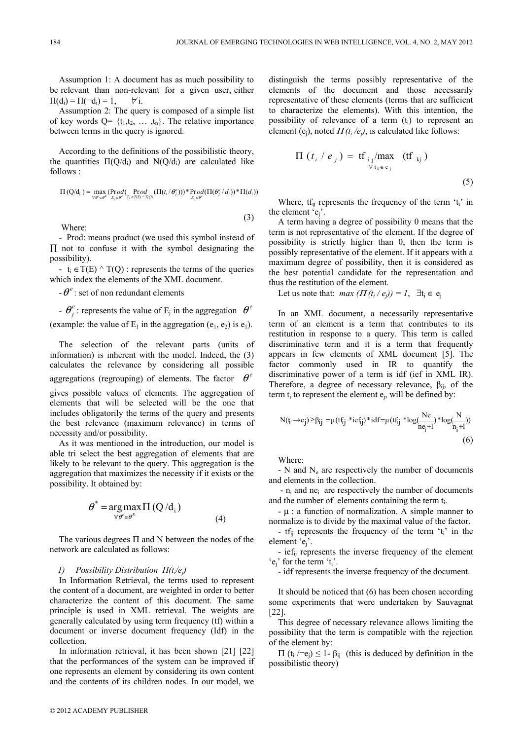Assumption 1: A document has as much possibility to be relevant than non-relevant for a given user, either  $\Pi(d_i) = \Pi(\neg d_i) = 1, \quad \forall i.$ 

Assumption 2: The query is composed of a simple list of key words  $Q = \{t_1, t_2, \ldots, t_n\}$ . The relative importance between terms in the query is ignored.

According to the definitions of the possibilistic theory, the quantities  $\Pi(Q/d_i)$  and  $N(Q/d_i)$  are calculated like follows :

$$
\Pi\left(Q/d_i\right) = \max_{\forall \theta' \in \theta^E} \left(\underset{E_j \in \theta^c}{\texttt{Prod}} \left(\underset{T_i \in \theta(E) \wedge T(Q)}{\texttt{Prod}} \left(\Pi(t_i/\theta_j^c)\right)\right) \ast \underset{E_j \in \theta^c}{\texttt{Prod}} \left(\Pi(\theta_j^c/d_i)\right) \ast \Pi(d_i)\right)
$$

Where:

- Prod: means product (we used this symbol instead of ∏ not to confuse it with the symbol designating the possibility).

- t<sub>i</sub>  $\in$  T(E)  $\wedge$  T(Q) : represents the terms of the queries which index the elements of the XML document.

 $-e^{e}$  : set of non redundant elements

 $-e^{e}$  is represents the value of E<sub>j</sub> in the aggregation  $e^{e}$ 

(example: the value of  $E_1$  in the aggregation (e<sub>1</sub>, e<sub>2</sub>) is e<sub>1</sub>).

The selection of the relevant parts (units of information) is inherent with the model. Indeed, the (3) calculates the relevance by considering all possible aggregations (regrouping) of elements. The factor 
$$
\theta^e
$$

gives possible values of elements. The aggregation of elements that will be selected will be the one that includes obligatorily the terms of the query and presents the best relevance (maximum relevance) in terms of necessity and/or possibility.

As it was mentioned in the introduction, our model is able tri select the best aggregation of elements that are likely to be relevant to the query. This aggregation is the aggregation that maximizes the necessity if it exists or the possibility. It obtained by:

$$
\theta^* = \underset{\forall \theta^e \in \theta^E}{\arg \max} \Pi(Q/d_i)
$$
\n(4)

The various degrees  $\Pi$  and N between the nodes of the network are calculated as follows:

# *1) Possibility Distribution П(ti/ej)*

In Information Retrieval, the terms used to represent the content of a document, are weighted in order to better characterize the content of this document. The same principle is used in XML retrieval. The weights are generally calculated by using term frequency (tf) within a document or inverse document frequency (Idf) in the collection.

In information retrieval, it has been shown [21] [22] that the performances of the system can be improved if one represents an element by considering its own content and the contents of its children nodes. In our model, we

distinguish the terms possibly representative of the elements of the document and those necessarily representative of these elements (terms that are sufficient to characterize the elements). With this intention, the possibility of relevance of a term  $(t<sub>i</sub>)$  to represent an element (e<sub>i</sub>), noted  $\Pi(t_i/e_i)$ , is calculated like follows:

$$
\Pi(t_i / e_j) = \text{tf}_{ij}/\text{max}_{\forall t_k \in e_j} (\text{tf}_{kj})
$$
\n(5)

Where,  $tf_{ij}$  represents the frequency of the term ' $t_i$ ' in the element 'ej'.

A term having a degree of possibility 0 means that the term is not representative of the element. If the degree of possibility is strictly higher than 0, then the term is possibly representative of the element. If it appears with a maximum degree of possibility, then it is considered as the best potential candidate for the representation and thus the restitution of the element.

Let us note that: *max*  $(\Pi(t_i / e_i)) = 1$ ,  $\exists t_i \in e_i$ 

In an XML document, a necessarily representative term of an element is a term that contributes to its restitution in response to a query. This term is called discriminative term and it is a term that frequently appears in few elements of XML document [5]. The factor commonly used in IR to quantify the discriminative power of a term is idf (ief in XML IR). Therefore, a degree of necessary relevance,  $\beta_{ii}$ , of the term  $t_i$  to represent the element  $e_i$ , will be defined by:

$$
N(t_i\rightarrow e_j)\geq \beta_{ij}=\mu(tf_{ij}*ief_{ij})*idf=\mu(tf_{ij}*log(\frac{Ne}{ne_j+l})*log(\frac{N}{n_i+l}))\tag{6}
$$

Where:

(3)

 $- N$  and  $N_e$  are respectively the number of documents and elements in the collection.

 $-$  n<sub>i</sub> and ne<sub>i</sub> are respectively the number of documents and the number of elements containing the term  $t_i$ .

 $-\mu$  : a function of normalization. A simple manner to normalize is to divide by the maximal value of the factor.

-  $tf_{ij}$  represents the frequency of the term ' $t_i$ ' in the element 'ej'.

- ief<sub>ij</sub> represents the inverse frequency of the element  $'e_i'$  for the term  $'t_i'.$ 

- idf represents the inverse frequency of the document.

It should be noticed that (6) has been chosen according some experiments that were undertaken by Sauvagnat [22].

This degree of necessary relevance allows limiting the possibility that the term is compatible with the rejection of the element by:

 $\Pi$  (t<sub>i</sub> / $-e$ <sub>i</sub>)  $\leq 1$ - β<sub>ij</sub> (this is deduced by definition in the possibilistic theory)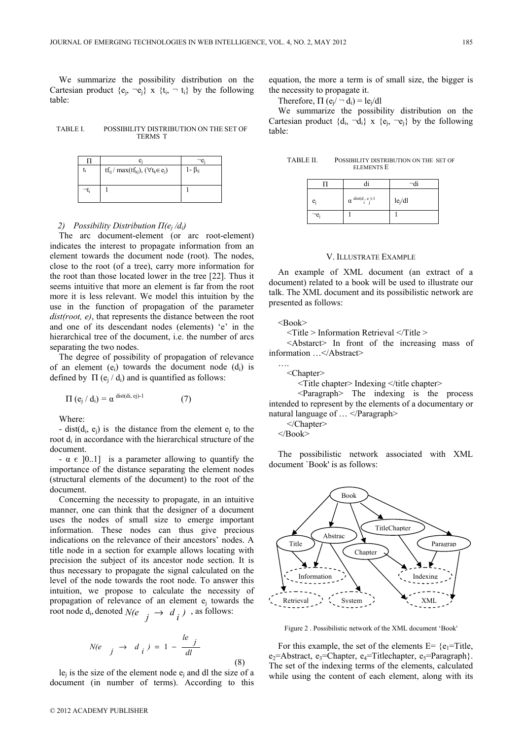We summarize the possibility distribution on the Cartesian product  ${e_i, -e_i} \times {t_i, -t_i}$  by the following table:

TABLE I. POSSIBILITY DISTRIBUTION ON THE SET OF TERMS T

|    | e.                                                        |                    |
|----|-----------------------------------------------------------|--------------------|
| ı. | $tf_{ij}$ / max( $tf_{kj}$ ), ( $\forall$ $t_k \in e_j$ ) | 1- β <sub>ii</sub> |
|    |                                                           |                    |
|    |                                                           |                    |
|    |                                                           |                    |

# *2) Possibility Distribution*  $\Pi(e_i/d_i)$

The arc document-element (or arc root-element) indicates the interest to propagate information from an element towards the document node (root). The nodes, close to the root (of a tree), carry more information for the root than those located lower in the tree [22]. Thus it seems intuitive that more an element is far from the root more it is less relevant. We model this intuition by the use in the function of propagation of the parameter *dist(root, e)*, that represents the distance between the root and one of its descendant nodes (elements) 'e' in the hierarchical tree of the document, i.e. the number of arcs separating the two nodes.

The degree of possibility of propagation of relevance of an element  $(e_i)$  towards the document node  $(d_i)$  is defined by  $\Pi$  (e<sub>i</sub> / d<sub>i</sub>) and is quantified as follows:

$$
\Pi\left(e_j/d_i\right) = \alpha^{\text{ dist}(di, ej)-1} \tag{7}
$$

Where:

- dist( $d_i$ ,  $e_i$ ) is the distance from the element  $e_i$  to the root di in accordance with the hierarchical structure of the document.

 $-\alpha \in [0..1]$  is a parameter allowing to quantify the importance of the distance separating the element nodes (structural elements of the document) to the root of the document.

Concerning the necessity to propagate, in an intuitive manner, one can think that the designer of a document uses the nodes of small size to emerge important information. These nodes can thus give precious indications on the relevance of their ancestors' nodes. A title node in a section for example allows locating with precision the subject of its ancestor node section. It is thus necessary to propagate the signal calculated on the level of the node towards the root node. To answer this intuition, we propose to calculate the necessity of propagation of relevance of an element ej towards the root node  $d_i$ , denoted  $N(e_i \rightarrow d_i)$ , as follows:

$$
N(e \t j \to d_i) = 1 - \frac{le}{dl}
$$
\n(8)

 $le$ <sub>i</sub> is the size of the element node  $e$ <sub>i</sub> and dl the size of a document (in number of terms). According to this equation, the more a term is of small size, the bigger is the necessity to propagate it.

Therefore,  $\Pi(e_i/\neg d_i) = le_i/dl$ 

We summarize the possibility distribution on the Cartesian product  $\{d_i, \neg d_i\}$  x  $\{e_i, \neg e_j\}$  by the following table:

| TABLE II. | POSSIBILITY DISTRIBUTION ON THE SET OF |  |
|-----------|----------------------------------------|--|
|           | <b>ELEMENTS E</b>                      |  |

| $e_i$ | $\alpha$ dist(d <sub>1</sub> , e <sub>1</sub> )-1 | $le_j/dl$ |
|-------|---------------------------------------------------|-----------|
| -е,   |                                                   |           |

## V. ILLUSTRATE EXAMPLE

An example of XML document (an extract of a document) related to a book will be used to illustrate our talk. The XML document and its possibilistic network are presented as follows:

 $<$ Book $>$ 

….

<Title > Information Retrieval </Title >

 <Abstarct> In front of the increasing mass of information  $\langle$  Abstract>

<Chapter>

 $\le$ Title chapter> Indexing  $\le$ /title chapter>

 <Paragraph> The indexing is the process intended to represent by the elements of a documentary or natural language of ... </Paragraph>

</Chapter>

 $<$ /Book>

The possibilistic network associated with XML document `Book' is as follows:



Figure 2 . Possibilistic network of the XML document 'Book'

For this example, the set of the elements  $E = \{e_1 =$ Title,  $e_2$ =Abstract,  $e_3$ =Chapter,  $e_4$ =Titlechapter,  $e_5$ =Paragraph}. The set of the indexing terms of the elements, calculated while using the content of each element, along with its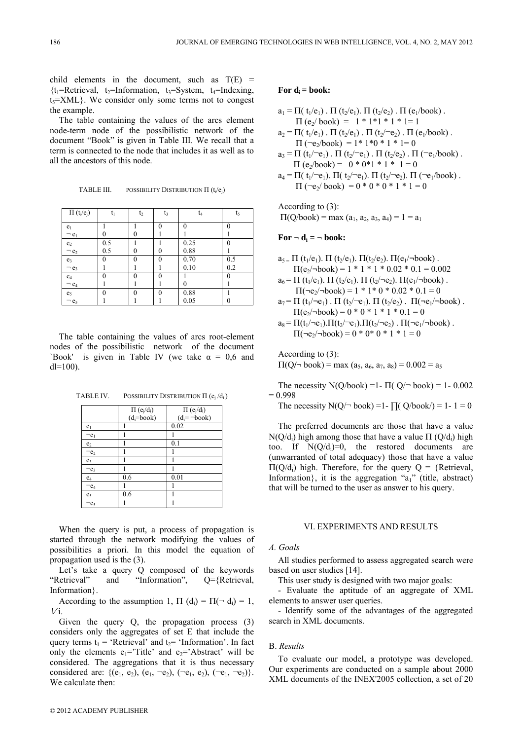child elements in the document, such as  $T(E)$  =  ${t_1$ =Retrieval,  $t_2$ =Information,  $t_3$ =System,  $t_4$ =Indexing,  $t<sub>5</sub>=XML$ }. We consider only some terms not to congest the example.

The table containing the values of the arcs element node-term node of the possibilistic network of the document "Book" is given in Table III. We recall that a term is connected to the node that includes it as well as to all the ancestors of this node.

TABLE III. POSSIBILITY DISTRIBUTION  $\Pi$  (t<sub>i</sub>/e<sub>i</sub>)

| $\Pi(t_i/e_j)$           | t,       | $t_2$    | $t_3$ | t <sub>4</sub> | t,       |
|--------------------------|----------|----------|-------|----------------|----------|
| e <sub>1</sub>           |          |          | 0     | $\Omega$       | ∩        |
| $-e_1$                   |          |          |       |                |          |
| $e_2$                    | 0.5      |          |       | 0.25           | 0        |
| $\neg$ $\underline{e}_2$ | 0.5      | $\left($ | 0     | 0.88           |          |
| e <sub>3</sub>           | 0        |          | 0     | 0.70           | 0.5      |
| $-e_3$                   |          |          |       | 0.10           | 0.2      |
| $e_4$                    | 0        |          | 0     |                | $\Omega$ |
| $-e4$                    |          |          |       | 0              |          |
| $e_5$                    | $\Omega$ | ∩        | 0     | 0.88           |          |
| $\neg$ e <sub>5</sub>    |          |          |       | 0.05           |          |

The table containing the values of arcs root-element nodes of the possibilistic network of the document 'Book' is given in Table IV (we take  $\alpha = 0.6$  and  $dl=100$ ).

TABLE IV. POSSIBILITY DISTRIBUTION  $\Pi$  (e<sub>i</sub>/d<sub>i</sub>)

|                       | $\Pi(e_i/d_i)$ | $\Pi(e_j/d_i)$      |
|-----------------------|----------------|---------------------|
|                       | $(d_i = book)$ | $(d_i = \neg book)$ |
| e <sub>1</sub>        |                | 0.02                |
| $\neg e_1$            |                |                     |
| e <sub>2</sub>        |                | 0.1                 |
| $\neg$ e <sub>2</sub> |                | 1                   |
| e <sub>3</sub>        |                | 1                   |
| $-e_3$                |                |                     |
| $e_4$                 | 0.6            | 0.01                |
| $\neg e_4$            |                |                     |
| e <sub>5</sub>        | 0.6            |                     |
| $-e5$                 |                |                     |

When the query is put, a process of propagation is started through the network modifying the values of possibilities a priori. In this model the equation of propagation used is the (3).

Let's take a query Q composed of the keywords<br>
'etrieval' and "Information",  $Q = \{Retrieval,$ "Retrieval" and "Information", Information}.

According to the assumption 1,  $\Pi$  (d<sub>i</sub>) =  $\Pi$ ( $\neg$  d<sub>i</sub>) = 1,  $\nabla i$ .

Given the query Q, the propagation process (3) considers only the aggregates of set E that include the query terms  $t_1$  = 'Retrieval' and  $t_2$ = 'Information'. In fact only the elements  $e_1$ ='Title' and  $e_2$ ='Abstract' will be considered. The aggregations that it is thus necessary considered are: { $(e_1, e_2)$ ,  $(e_1, \neg e_2)$ ,  $(\neg e_1, e_2)$ ,  $(\neg e_1, \neg e_2)$ }. We calculate then:

## For  $d_i = \text{book}$ :

```
a_1 = \Pi(\ t_1/e_1). \Pi(\ t_2/e_1). \Pi(\ t_2/e_2). \Pi(\ e_1/book).
       \Pi (e<sub>2</sub>/ book) = 1 * 1<sup>*</sup>1 * 1 * 1 = 1
a_2 = \Pi(\; t_1/e_1). \Pi(\; t_2/e_1). \Pi(\; t_2/\neg e_2). \Pi(\; e_1/book).
       \Pi (\nege<sub>2</sub>/book) = 1 * 1 * 0 * 1 * 1 = 0
a_3 = \Pi(t_1/\neg e_1). \Pi(t_2/\neg e_1). \Pi(t_2/e_2). \Pi(\neg e_1/book).
      \Pi (e<sub>2</sub>/book) = 0 * 0 * 1 * 1 * 1 = 0
a_4 = \Pi(\ t_1/\neg e_1). \Pi(\ t_2/\neg e_1). \Pi(\ t_2/\neg e_2). \Pi(\neg e_1/book).
       \Pi (\nege<sub>2</sub>/ book) = 0 * 0 * 0 * 1 * 1 = 0
```
According to (3):  $\Pi(Q\}/box{book}) = \max(a_1, a_2, a_3, a_4) = 1 = a_1$ 

## $\text{For } \neg \textbf{d}_i = \neg \textbf{book:}$

- $a_5 = \Pi(t_1/e_1)$ .  $\Pi(t_2/e_1)$ .  $\Pi(t_2/e_2)$ .  $\Pi(e_1/\neg \text{book})$ .  $\Pi(e_2/\text{-book}) = 1 * 1 * 1 * 0.02 * 0.1 = 0.002$  $a_6 = \Pi(t_1/e_1)$ .  $\Pi(t_2/e_1)$ .  $\Pi(t_2/\neg e_2)$ .  $\Pi(e_1/\neg book)$ .  $\Pi(\neg e_2/\neg book) = 1 * 1 * 0 * 0.02 * 0.1 = 0$
- $a_7 = \Pi(t_1/\neg e_1)$ .  $\Pi(t_2/\neg e_1)$ .  $\Pi(t_2/e_2)$ .  $\Pi(\neg e_1/\neg book)$ .  $\Pi(e_2/\neg \text{book}) = 0 * 0 * 1 * 1 * 0.1 = 0$
- $a_8 = \Pi(t_1/\neg e_1).\Pi(t_2/\neg e_1).\Pi(t_2/\neg e_2)$ .  $\Pi(\neg e_1/\neg \text{book})$ .  $\Pi(\neg e_2/\neg book) = 0 * 0 * 0 * 1 * 1 = 0$

According to (3):  $\Pi(Q \cap \text{book}) = \max(a_5, a_6, a_7, a_8) = 0.002 = a_5$ 

The necessity  $N(Q/book) = 1 - \Pi(Q/\neg book) = 1 - 0.002$  $= 0.998$ 

The necessity  $N(Q/\neg \text{book}) = 1 - \prod(Q/\text{book}) = 1 - 1 = 0$ 

The preferred documents are those that have a value N(Q/d<sub>i</sub>) high among those that have a value  $\Pi$  (Q/d<sub>i</sub>) high too. If  $N(Q/d_i)=0$ , the restored documents are (unwarranted of total adequacy) those that have a value  $\Pi(Q/d_i)$  high. Therefore, for the query  $Q = {Retrieval}$ , Information $\}$ , it is the aggregation "a<sub>1</sub>" (title, abstract) that will be turned to the user as answer to his query.

# VI. EXPERIMENTS AND RESULTS

#### *A. Goals*

All studies performed to assess aggregated search were based on user studies [14].

This user study is designed with two major goals:

- Evaluate the aptitude of an aggregate of XML elements to answer user queries.

- Identify some of the advantages of the aggregated search in XML documents.

# B. *Results*

To evaluate our model, a prototype was developed. Our experiments are conducted on a sample about 2000 XML documents of the INEX'2005 collection, a set of 20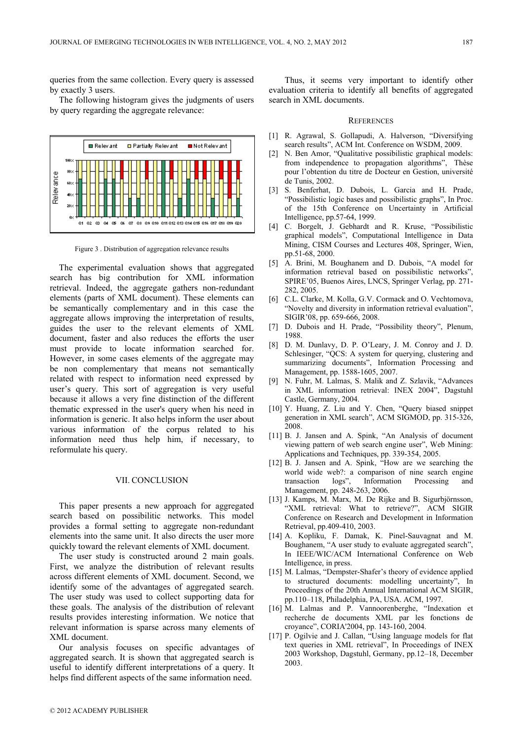queries from the same collection. Every query is assessed by exactly 3 users.

The following histogram gives the judgments of users by query regarding the aggregate relevance:



Figure 3 . Distribution of aggregation relevance results

The experimental evaluation shows that aggregated search has big contribution for XML information retrieval. Indeed, the aggregate gathers non-redundant elements (parts of XML document). These elements can be semantically complementary and in this case the aggregate allows improving the interpretation of results, guides the user to the relevant elements of XML document, faster and also reduces the efforts the user must provide to locate information searched for. However, in some cases elements of the aggregate may be non complementary that means not semantically related with respect to information need expressed by user's query. This sort of aggregation is very useful because it allows a very fine distinction of the different thematic expressed in the user's query when his need in information is generic. It also helps inform the user about various information of the corpus related to his information need thus help him, if necessary, to reformulate his query.

## VII. CONCLUSION

This paper presents a new approach for aggregated search based on possibilitic networks. This model provides a formal setting to aggregate non-redundant elements into the same unit. It also directs the user more quickly toward the relevant elements of XML document.

The user study is constructed around 2 main goals. First, we analyze the distribution of relevant results across different elements of XML document. Second, we identify some of the advantages of aggregated search. The user study was used to collect supporting data for these goals. The analysis of the distribution of relevant results provides interesting information. We notice that relevant information is sparse across many elements of XML document.

Our analysis focuses on specific advantages of aggregated search. It is shown that aggregated search is useful to identify different interpretations of a query. It helps find different aspects of the same information need.

 Thus, it seems very important to identify other evaluation criteria to identify all benefits of aggregated search in XML documents.

#### **REFERENCES**

- [1] R. Agrawal, S. Gollapudi, A. Halverson, "Diversifying search results", ACM Int. Conference on WSDM, 2009.
- [2] N. Ben Amor, "Qualitative possibilistic graphical models: from independence to propagation algorithms", Thèse pour l'obtention du titre de Docteur en Gestion, université de Tunis, 2002.
- [3] S. Benferhat, D. Dubois, L. Garcia and H. Prade, "Possibilistic logic bases and possibilistic graphs", In Proc. of the 15th Conference on Uncertainty in Artificial Intelligence, pp.57-64, 1999.
- [4] C. Borgelt, J. Gebhardt and R. Kruse, "Possibilistic graphical models", Computational Intelligence in Data Mining, CISM Courses and Lectures 408, Springer, Wien, pp.51-68, 2000.
- [5] A. Brini, M. Boughanem and D. Dubois, "A model for information retrieval based on possibilistic networks", SPIRE'05, Buenos Aires, LNCS, Springer Verlag, pp. 271- 282, 2005.
- [6] C.L. Clarke, M. Kolla, G.V. Cormack and O. Vechtomova, "Novelty and diversity in information retrieval evaluation", SIGIR'08, pp. 659-666, 2008.
- [7] D. Dubois and H. Prade, "Possibility theory", Plenum, 1988.
- [8] D. M. Dunlavy, D. P. O'Leary, J. M. Conroy and J. D. Schlesinger, "QCS: A system for querying, clustering and summarizing documents", Information Processing and Management, pp. 1588-1605, 2007.
- [9] N. Fuhr, M. Lalmas, S. Malik and Z. Szlavik, "Advances in XML information retrieval: INEX 2004", Dagstuhl Castle, Germany, 2004.
- [10] Y. Huang, Z. Liu and Y. Chen, "Query biased snippet generation in XML search", ACM SIGMOD, pp. 315-326, 2008.
- [11] B. J. Jansen and A. Spink, "An Analysis of document viewing pattern of web search engine user", Web Mining: Applications and Techniques, pp. 339-354, 2005.
- [12] B. J. Jansen and A. Spink, "How are we searching the world wide web?: a comparison of nine search engine transaction logs", Information Processing and transaction logs", Information Processing and Management, pp. 248-263, 2006.
- [13] J. Kamps, M. Marx, M. De Rijke and B. Sigurbjörnsson, "XML retrieval: What to retrieve?", ACM SIGIR Conference on Research and Development in Information Retrieval, pp.409-410, 2003.
- [14] A. Kopliku, F. Damak, K. Pinel-Sauvagnat and M. Boughanem, "A user study to evaluate aggregated search", In IEEE/WIC/ACM International Conference on Web Intelligence, in press.
- [15] M. Lalmas, "Dempster-Shafer's theory of evidence applied to structured documents: modelling uncertainty", In Proceedings of the 20th Annual International ACM SIGIR, pp.110–118, Philadelphia, PA, USA. ACM, 1997.
- [16] M. Lalmas and P. Vannoorenberghe, "Indexation et recherche de documents XML par les fonctions de croyance", CORIA'2004, pp. 143-160, 2004.
- [17] P. Ogilvie and J. Callan, "Using language models for flat text queries in XML retrieval", In Proceedings of INEX 2003 Workshop, Dagstuhl, Germany, pp.12–18, December 2003.